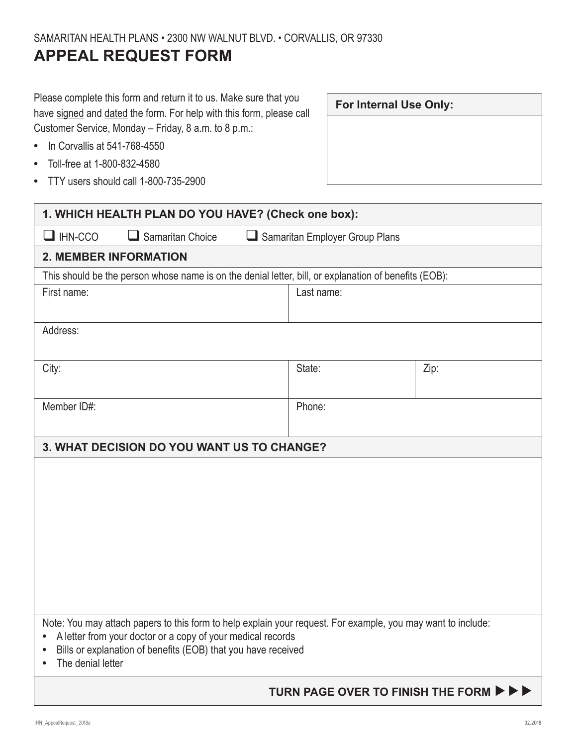## **APPEAL REQUEST FORM**

Please complete this form and return it to us. Make sure that you have signed and dated the form. For help with this form, please call Customer Service, Monday – Friday, 8 a.m. to 8 p.m.:

- **•** In Corvallis at 541-768-4550
- **•** Toll-free at 1-800-832-4580
- **•** TTY users should call 1-800-735-2900

**For Internal Use Only:**

| 1. WHICH HEALTH PLAN DO YOU HAVE? (Check one box):                                                                                                                                                                                                                                          |                                |      |
|---------------------------------------------------------------------------------------------------------------------------------------------------------------------------------------------------------------------------------------------------------------------------------------------|--------------------------------|------|
| $\Box$ IHN-CCO<br>$\Box$ Samaritan Choice                                                                                                                                                                                                                                                   | Samaritan Employer Group Plans |      |
| <b>2. MEMBER INFORMATION</b>                                                                                                                                                                                                                                                                |                                |      |
| This should be the person whose name is on the denial letter, bill, or explanation of benefits (EOB):                                                                                                                                                                                       |                                |      |
| First name:                                                                                                                                                                                                                                                                                 | Last name:                     |      |
| Address:                                                                                                                                                                                                                                                                                    |                                |      |
| City:                                                                                                                                                                                                                                                                                       | State:                         | Zip: |
| Member ID#:                                                                                                                                                                                                                                                                                 | Phone:                         |      |
| 3. WHAT DECISION DO YOU WANT US TO CHANGE?                                                                                                                                                                                                                                                  |                                |      |
|                                                                                                                                                                                                                                                                                             |                                |      |
| Note: You may attach papers to this form to help explain your request. For example, you may want to include:<br>A letter from your doctor or a copy of your medical records<br>$\bullet$<br>Bills or explanation of benefits (EOB) that you have received<br>$\bullet$<br>The denial letter |                                |      |
| TURN PAGE OVER TO FINISH THE FORM ▶ ▶ ▶                                                                                                                                                                                                                                                     |                                |      |